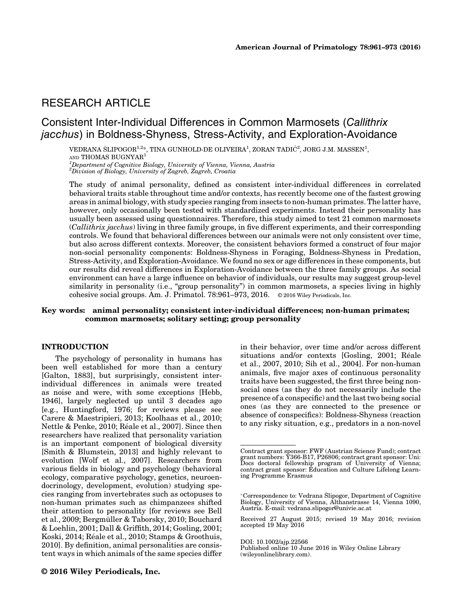# RESEARCH ARTICLE

## Consistent Inter-Individual Differences in Common Marmosets (Callithrix jacchus) in Boldness-Shyness, Stress-Activity, and Exploration-Avoidance

VEDRANA ŠLIPOGOR $^{1,2\ast},$  TINA GUNHOLD-DE OLIVEIRA $^1$ , ZORAN TADIĆ $^2$ , JORG J.M. MASSEN $^1,$ AND THOMAS BUGNYAR<sup>1</sup>

<sup>1</sup>Department of Cognitive Biology, University of Vienna, Vienna, Austria<br><sup>2</sup>Division of Biology, University of Zagreb, Zagreb, Croatia

The study of animal personality, defined as consistent inter-individual differences in correlated behavioral traits stable throughout time and/or contexts, has recently become one of the fastest growing areas in animal biology, with study species ranging from insects to non-human primates. The latter have, however, only occasionally been tested with standardized experiments. Instead their personality has usually been assessed using questionnaires. Therefore, this study aimed to test 21 common marmosets (Callithrix jacchus) living in three family groups, in five different experiments, and their corresponding controls. We found that behavioral differences between our animals were not only consistent over time, but also across different contexts. Moreover, the consistent behaviors formed a construct of four major non-social personality components: Boldness-Shyness in Foraging, Boldness-Shyness in Predation, Stress-Activity, and Exploration-Avoidance. We found no sex or age differences in these components, but our results did reveal differences in Exploration-Avoidance between the three family groups. As social environment can have a large influence on behavior of individuals, our results may suggest group-level similarity in personality (i.e., "group personality") in common marmosets, a species living in highly cohesive social groups. Am. J. Primatol. 78:961–973, 2016. © 2016 Wiley Periodicals, Inc.

### Key words: animal personality; consistent inter-individual differences; non-human primates; common marmosets; solitary setting; group personality

#### INTRODUCTION

The psychology of personality in humans has been well established for more than a century [Galton, 1883], but surprisingly, consistent interindividual differences in animals were treated as noise and were, with some exceptions [Hebb, 1946], largely neglected up until 3 decades ago [e.g., Huntingford, 1976; for reviews please see Carere & Maestripieri, 2013; Koolhaas et al., 2010; Nettle & Penke, 2010; Réale et al., 2007]. Since then researchers have realized that personality variation is an important component of biological diversity [Smith & Blumstein, 2013] and highly relevant to evolution [Wolf et al., 2007]. Researchers from various fields in biology and psychology (behavioral ecology, comparative psychology, genetics, neuroendocrinology, development, evolution) studying species ranging from invertebrates such as octopuses to non-human primates such as chimpanzees shifted their attention to personality [for reviews see Bell et al., 2009; Bergmüller & Taborsky, 2010; Bouchard & Loehlin, 2001; Dall & Griffith, 2014; Gosling, 2001; Koski, 2014; Reale et al., 2010; Stamps & Groothuis, 2010]. By definition, animal personalities are consistent ways in which animals of the same species differ in their behavior, over time and/or across different situations and/or contexts [Gosling, 2001; Réale et al., 2007, 2010; Sih et al., 2004]. For non-human animals, five major axes of continuous personality traits have been suggested, the first three being nonsocial ones (as they do not necessarily include the presence of a conspecific) and the last two being social ones (as they are connected to the presence or absence of conspecifics): Boldness-Shyness (reaction to any risky situation, e.g., predators in a non-novel

DOI: 10.1002/ajp.22566

Contract grant sponsor: FWF (Austrian Science Fund); contract<br>grant numbers: Y366-B17, P26806; contract grant sponsor: Uni:<br>Docs doctoral fellowship program of University of Vienna;<br>contract grant sponsor: Education ing Programme Erasmus

Correspondence to: Vedrana Slipogor, Department of Cognitive Biology, University of Vienna, Althanstrasse 14, Vienna 1090, Austria. E-mail: vedrana.slipogor@univie.ac.at

Received 27 August 2015; revised 19 May 2016; revision accepted 19 May 2016

Published online 10 June 2016 in Wiley Online Library (wileyonlinelibrary.com).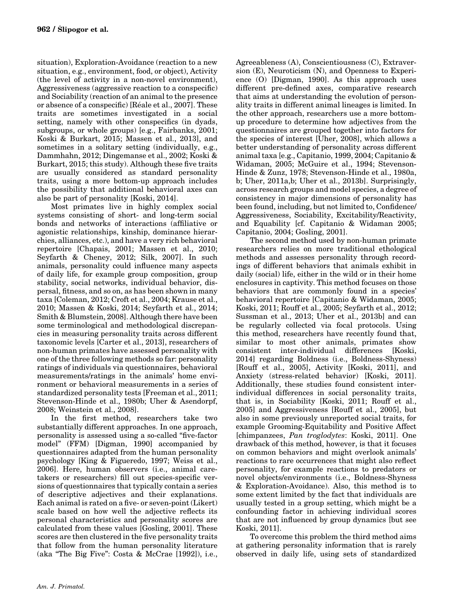situation), Exploration-Avoidance (reaction to a new situation, e.g., environment, food, or object), Activity (the level of activity in a non-novel environment), Aggressiveness (aggressive reaction to a conspecific) and Sociability (reaction of an animal to the presence or absence of a conspecific) [Reale et al., 2007]. These traits are sometimes investigated in a social setting, namely with other conspecifics (in dyads, subgroups, or whole groups) [e.g., Fairbanks, 2001; Koski & Burkart, 2015; Massen et al., 2013], and sometimes in a solitary setting (individually, e.g., Dammhahn, 2012; Dingemanse et al., 2002; Koski & Burkart, 2015; this study). Although these five traits are usually considered as standard personality traits, using a more bottom-up approach includes the possibility that additional behavioral axes can also be part of personality [Koski, 2014].

Most primates live in highly complex social systems consisting of short- and long-term social bonds and networks of interactions (affiliative or agonistic relationships, kinship, dominance hierarchies, alliances, etc.), and have a very rich behavioral repertoire [Chapais, 2001; Massen et al., 2010; Seyfarth & Cheney, 2012; Silk, 2007]. In such animals, personality could influence many aspects of daily life, for example group composition, group stability, social networks, individual behavior, dispersal, fitness, and so on, as has been shown in many taxa [Coleman, 2012; Croft et al., 2004; Krause et al., 2010; Massen & Koski, 2014; Seyfarth et al., 2014; Smith & Blumstein, 2008]. Although there have been some terminological and methodological discrepancies in measuring personality traits across different taxonomic levels [Carter et al., 2013], researchers of non-human primates have assessed personality with one of the three following methods so far: personality ratings of individuals via questionnaires, behavioral measurements/ratings in the animals' home environment or behavioral measurements in a series of standardized personality tests [Freeman et al., 2011; Stevenson-Hinde et al., 1980b; Uher & Asendorpf, 2008; Weinstein et al., 2008].

In the first method, researchers take two substantially different approaches. In one approach, personality is assessed using a so-called "five-factor model" (FFM) [Digman, 1990] accompanied by questionnaires adapted from the human personality psychology [King & Figueredo, 1997; Weiss et al., 2006]. Here, human observers (i.e., animal caretakers or researchers) fill out species-specific versions of questionnaires that typically contain a series of descriptive adjectives and their explanations. Each animal is rated on a five- or seven-point (Likert) scale based on how well the adjective reflects its personal characteristics and personality scores are calculated from these values [Gosling, 2001]. These scores are then clustered in the five personality traits that follow from the human personality literature (aka "The Big Five": Costa & McCrae [1992]), i.e.,

Agreeableness (A), Conscientiousness (C), Extraversion (E), Neuroticism (N), and Openness to Experience (O) [Digman, 1990]. As this approach uses different pre-defined axes, comparative research that aims at understanding the evolution of personality traits in different animal lineages is limited. In the other approach, researchers use a more bottomup procedure to determine how adjectives from the questionnaires are grouped together into factors for the species of interest [Uher, 2008], which allows a better understanding of personality across different animal taxa [e.g., Capitanio, 1999, 2004; Capitanio & Widaman, 2005; McGuire et al., 1994; Stevenson-Hinde & Zunz, 1978; Stevenson-Hinde et al., 1980a, b; Uher, 2011a,b; Uher et al., 2013b]. Surprisingly, across research groups and model species, a degree of consistency in major dimensions of personality has been found, including, but not limited to, Confidence/ Aggressiveness, Sociability, Excitability/Reactivity, and Equability [cf. Capitanio & Widaman 2005; Capitanio, 2004; Gosling, 2001].

The second method used by non-human primate researchers relies on more traditional ethological methods and assesses personality through recordings of different behaviors that animals exhibit in daily (social) life, either in the wild or in their home enclosures in captivity. This method focuses on those behaviors that are commonly found in a species' behavioral repertoire [Capitanio & Widaman, 2005; Koski, 2011; Rouff et al., 2005; Seyfarth et al., 2012; Sussman et al., 2013; Uher et al., 2013b] and can be regularly collected via focal protocols. Using this method, researchers have recently found that, similar to most other animals, primates show consistent inter-individual differences [Koski, 2014] regarding Boldness (i.e., Boldness-Shyness) [Rouff et al., 2005], Activity [Koski, 2011], and Anxiety (stress-related behavior) [Koski, 2011]. Additionally, these studies found consistent interindividual differences in social personality traits, that is, in Sociability [Koski, 2011; Rouff et al., 2005] and Aggressiveness [Rouff et al., 2005], but also in some previously unreported social traits, for example Grooming-Equitability and Positive Affect [chimpanzees, Pan troglodytes: Koski, 2011]. One drawback of this method, however, is that it focuses on common behaviors and might overlook animals' reactions to rare occurrences that might also reflect personality, for example reactions to predators or novel objects/environments (i.e., Boldness-Shyness & Exploration-Avoidance). Also, this method is to some extent limited by the fact that individuals are usually tested in a group setting, which might be a confounding factor in achieving individual scores that are not influenced by group dynamics [but see Koski, 2011].

To overcome this problem the third method aims at gathering personality information that is rarely observed in daily life, using sets of standardized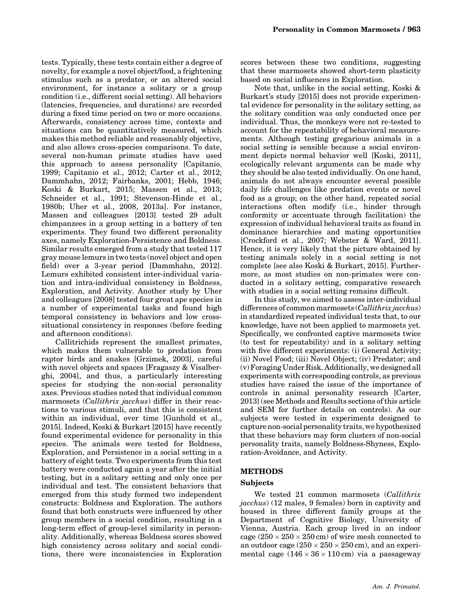tests. Typically, these tests contain either a degree of novelty, for example a novel object/food, a frightening stimulus such as a predator, or an altered social environment, for instance a solitary or a group condition (i.e., different social setting). All behaviors (latencies, frequencies, and durations) are recorded during a fixed time period on two or more occasions. Afterwards, consistency across time, contexts and situations can be quantitatively measured, which makes this method reliable and reasonably objective, and also allows cross-species comparisons. To date, several non-human primate studies have used this approach to assess personality [Capitanio, 1999; Capitanio et al., 2012; Carter et al., 2012; Dammhahn, 2012; Fairbanks, 2001; Hebb, 1946; Koski & Burkart, 2015; Massen et al., 2013; Schneider et al., 1991; Stevenson-Hinde et al., 1980b; Uher et al., 2008, 2013a]. For instance, Massen and colleagues [2013] tested 29 adult chimpanzees in a group setting in a battery of ten experiments. They found two different personality axes, namely Exploration-Persistence and Boldness. Similar results emerged from a study that tested 117 gray mouse lemurs in two tests (novel object and open field) over a 3-year period [Dammhahn, 2012]. Lemurs exhibited consistent inter-individual variation and intra-individual consistency in Boldness, Exploration, and Activity. Another study by Uher and colleagues [2008] tested four great ape species in a number of experimental tasks and found high temporal consistency in behaviors and low crosssituational consistency in responses (before feeding and afternoon conditions).

Callitrichids represent the smallest primates, which makes them vulnerable to predation from raptor birds and snakes [Grzimek, 2003], careful with novel objects and spaces [Fragaszy & Visalberghi, 2004], and thus, a particularly interesting species for studying the non-social personality axes. Previous studies noted that individual common marmosets (Callithrix jacchus) differ in their reactions to various stimuli, and that this is consistent within an individual, over time [Gunhold et al., 2015]. Indeed, Koski & Burkart [2015] have recently found experimental evidence for personality in this species. The animals were tested for Boldness, Exploration, and Persistence in a social setting in a battery of eight tests. Two experiments from this test battery were conducted again a year after the initial testing, but in a solitary setting and only once per individual and test. The consistent behaviors that emerged from this study formed two independent constructs: Boldness and Exploration. The authors found that both constructs were influenced by other group members in a social condition, resulting in a long-term effect of group-level similarity in personality. Additionally, whereas Boldness scores showed high consistency across solitary and social conditions, there were inconsistencies in Exploration

scores between these two conditions, suggesting that these marmosets showed short-term plasticity based on social influences in Exploration.

Note that, unlike in the social setting, Koski & Burkart's study [2015] does not provide experimental evidence for personality in the solitary setting, as the solitary condition was only conducted once per individual. Thus, the monkeys were not re-tested to account for the repeatability of behavioral measurements. Although testing gregarious animals in a social setting is sensible because a social environment depicts normal behavior well [Koski, 2011], ecologically relevant arguments can be made why they should be also tested individually. On one hand, animals do not always encounter several possible daily life challenges like predation events or novel food as a group; on the other hand, repeated social interactions often modify (i.e., hinder through conformity or accentuate through facilitation) the expression of individual behavioral traits as found in dominance hierarchies and mating opportunities [Crockford et al., 2007; Webster & Ward, 2011]. Hence, it is very likely that the picture obtained by testing animals solely in a social setting is not complete [see also Koski & Burkart, 2015]. Furthermore, as most studies on non-primates were conducted in a solitary setting, comparative research with studies in a social setting remains difficult.

In this study, we aimed to assess inter-individual differences of common marmosets (Callithrix jacchus) in standardized repeated individual tests that, to our knowledge, have not been applied to marmosets yet. Specifically, we confronted captive marmosets twice (to test for repeatability) and in a solitary setting with five different experiments: (i) General Activity; (ii) Novel Food; (iii) Novel Object; (iv) Predator; and (v) Foraging Under Risk. Additionally, we designed all experiments with corresponding controls, as previous studies have raised the issue of the importance of controls in animal personality research [Carter, 2013] (see Methods and Results sections of this article and SEM for further details on controls). As our subjects were tested in experiments designed to capture non-social personality traits, we hypothesized that these behaviors may form clusters of non-social personality traits, namely Boldness-Shyness, Exploration-Avoidance, and Activity.

## METHODS

## Subjects

We tested 21 common marmosets (Callithrix jacchus) (12 males, 9 females) born in captivity and housed in three different family groups at the Department of Cognitive Biology, University of Vienna, Austria. Each group lived in an indoor cage  $(250 \times 250 \times 250 \text{ cm})$  of wire mesh connected to an outdoor cage  $(250 \times 250 \times 250 \text{ cm})$ , and an experimental cage  $(146 \times 36 \times 110 \text{ cm})$  via a passageway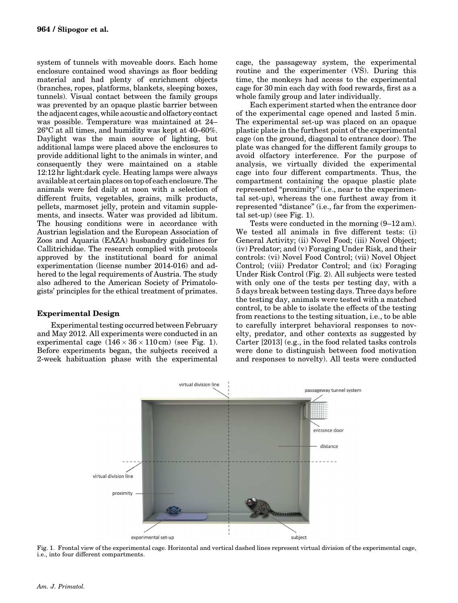system of tunnels with moveable doors. Each home enclosure contained wood shavings as floor bedding material and had plenty of enrichment objects (branches, ropes, platforms, blankets, sleeping boxes, tunnels). Visual contact between the family groups was prevented by an opaque plastic barrier between the adjacent cages, while acoustic and olfactory contact was possible. Temperature was maintained at 24– 26°C at all times, and humidity was kept at 40–60%. Daylight was the main source of lighting, but additional lamps were placed above the enclosures to provide additional light to the animals in winter, and consequently they were maintained on a stable 12:12 hr light:dark cycle. Heating lamps were always available at certain places on top of each enclosure.The animals were fed daily at noon with a selection of different fruits, vegetables, grains, milk products, pellets, marmoset jelly, protein and vitamin supplements, and insects. Water was provided ad libitum. The housing conditions were in accordance with Austrian legislation and the European Association of Zoos and Aquaria (EAZA) husbandry guidelines for Callitrichidae. The research complied with protocols approved by the institutional board for animal experimentation (license number 2014-016) and adhered to the legal requirements of Austria. The study also adhered to the American Society of Primatologists' principles for the ethical treatment of primates.

## Experimental Design

Experimental testing occurred between February and May 2012. All experiments were conducted in an experimental cage  $(146 \times 36 \times 110 \text{ cm})$  (see Fig. 1). Before experiments began, the subjects received a 2-week habituation phase with the experimental

cage, the passageway system, the experimental routine and the experimenter (VS). During this time, the monkeys had access to the experimental cage for 30 min each day with food rewards, first as a whole family group and later individually.

Each experiment started when the entrance door of the experimental cage opened and lasted 5 min. The experimental set-up was placed on an opaque plastic plate in the furthest point of the experimental cage (on the ground, diagonal to entrance door). The plate was changed for the different family groups to avoid olfactory interference. For the purpose of analysis, we virtually divided the experimental cage into four different compartments. Thus, the compartment containing the opaque plastic plate represented "proximity" (i.e., near to the experimental set-up), whereas the one furthest away from it represented "distance" (i.e., far from the experimental set-up) (see Fig. 1).

Tests were conducted in the morning (9–12 am). We tested all animals in five different tests: (i) General Activity; (ii) Novel Food; (iii) Novel Object; (iv) Predator; and (v) Foraging Under Risk, and their controls: (vi) Novel Food Control; (vii) Novel Object Control; (viii) Predator Control; and (ix) Foraging Under Risk Control (Fig. 2). All subjects were tested with only one of the tests per testing day, with a 5 days break between testing days. Three days before the testing day, animals were tested with a matched control, to be able to isolate the effects of the testing from reactions to the testing situation, i.e., to be able to carefully interpret behavioral responses to novelty, predator, and other contexts as suggested by Carter [2013] (e.g., in the food related tasks controls were done to distinguish between food motivation and responses to novelty). All tests were conducted



Fig. 1. Frontal view of the experimental cage. Horizontal and vertical dashed lines represent virtual division of the experimental cage, i.e., into four different compartments.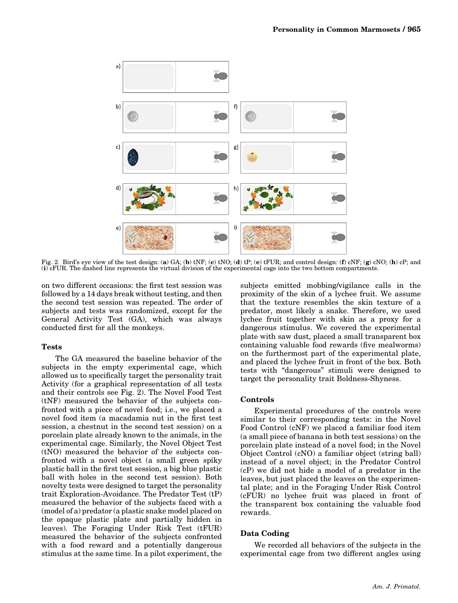

Fig. 2. Bird's eye view of the test design: (a) GA; (b) tNF; (c) tNO; (d) tP; (e) tFUR; and control design: (f) cNF; (g) cNO; (h) cP; and (i) cFUR. The dashed line represents the virtual division of the experimental cage into the two bottom compartments.

on two different occasions: the first test session was followed by a 14 days break without testing, and then the second test session was repeated. The order of subjects and tests was randomized, except for the General Activity Test (GA), which was always conducted first for all the monkeys.

#### Tests

The GA measured the baseline behavior of the subjects in the empty experimental cage, which allowed us to specifically target the personality trait Activity (for a graphical representation of all tests and their controls see Fig. 2). The Novel Food Test (tNF) measured the behavior of the subjects confronted with a piece of novel food; i.e., we placed a novel food item (a macadamia nut in the first test session, a chestnut in the second test session) on a porcelain plate already known to the animals, in the experimental cage. Similarly, the Novel Object Test (tNO) measured the behavior of the subjects confronted with a novel object (a small green spiky plastic ball in the first test session, a big blue plastic ball with holes in the second test session). Both novelty tests were designed to target the personality trait Exploration-Avoidance. The Predator Test (tP) measured the behavior of the subjects faced with a (model of a) predator (a plastic snake model placed on the opaque plastic plate and partially hidden in leaves). The Foraging Under Risk Test (tFUR) measured the behavior of the subjects confronted with a food reward and a potentially dangerous stimulus at the same time. In a pilot experiment, the subjects emitted mobbing/vigilance calls in the proximity of the skin of a lychee fruit. We assume that the texture resembles the skin texture of a predator, most likely a snake. Therefore, we used lychee fruit together with skin as a proxy for a dangerous stimulus. We covered the experimental plate with saw dust, placed a small transparent box containing valuable food rewards (five mealworms) on the furthermost part of the experimental plate, and placed the lychee fruit in front of the box. Both tests with "dangerous" stimuli were designed to target the personality trait Boldness-Shyness.

#### Controls

Experimental procedures of the controls were similar to their corresponding tests: in the Novel Food Control (cNF) we placed a familiar food item (a small piece of banana in both test sessions) on the porcelain plate instead of a novel food; in the Novel Object Control (cNO) a familiar object (string ball) instead of a novel object; in the Predator Control (cP) we did not hide a model of a predator in the leaves, but just placed the leaves on the experimental plate; and in the Foraging Under Risk Control (cFUR) no lychee fruit was placed in front of the transparent box containing the valuable food rewards.

#### Data Coding

We recorded all behaviors of the subjects in the experimental cage from two different angles using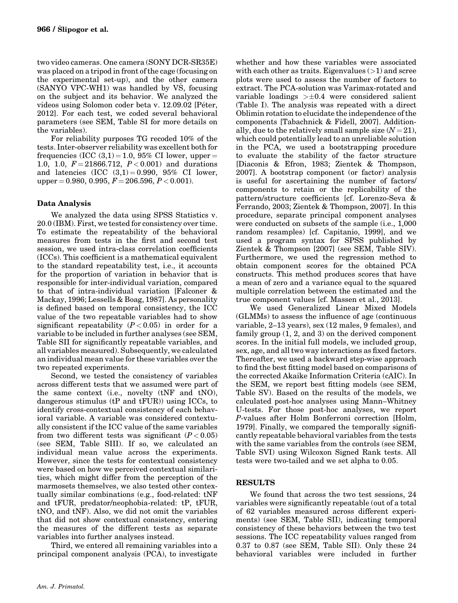two video cameras. One camera (SONY DCR-SR35E) was placed on a tripod in front of the cage (focusing on the experimental set-up), and the other camera (SANYO VPC-WH1) was handled by VS, focusing on the subject and its behavior. We analyzed the videos using Solomon coder beta v. 12.09.02 [Peter, 2012]. For each test, we coded several behavioral parameters (see SEM, Table SI for more details on the variables).

For reliability purposes TG recoded 10% of the tests. Inter-observer reliability was excellent both for frequencies (ICC  $(3,1) = 1.0$ , 95% CI lower, upper = 1.0, 1.0,  $F = 21866.712$ ,  $P < 0.001$ ) and durations and latencies  $(ICC (3,1)=0.990, 95\% CI lower,$ upper  $= 0.980, 0.995, F = 206.596, P < 0.001$ .

## Data Analysis

We analyzed the data using SPSS Statistics v. 20.0 (IBM). First, we tested for consistency over time. To estimate the repeatability of the behavioral measures from tests in the first and second test session, we used intra-class correlation coefficients (ICCs). This coefficient is a mathematical equivalent to the standard repeatability test, i.e., it accounts for the proportion of variation in behavior that is responsible for inter-individual variation, compared to that of intra-individual variation [Falconer & Mackay, 1996; Lessells & Boag, 1987]. As personality is defined based on temporal consistency, the ICC value of the two repeatable variables had to show significant repeatability  $(P<0.05)$  in order for a variable to be included in further analyses (see SEM, Table SII for significantly repeatable variables, and all variables measured). Subsequently, we calculated an individual mean value for these variables over the two repeated experiments.

Second, we tested the consistency of variables across different tests that we assumed were part of the same context (i.e., novelty (tNF and tNO), dangerous stimulus (tP and tFUR)) using ICCs, to identify cross-contextual consistency of each behavioral variable. A variable was considered contextually consistent if the ICC value of the same variables from two different tests was significant  $(P<0.05)$ (see SEM, Table SIII). If so, we calculated an individual mean value across the experiments. However, since the tests for contextual consistency were based on how we perceived contextual similarities, which might differ from the perception of the marmosets themselves, we also tested other contextually similar combinations (e.g., food-related: tNF and tFUR, predator/neophobia-related: tP, tFUR, tNO, and tNF). Also, we did not omit the variables that did not show contextual consistency, entering the measures of the different tests as separate variables into further analyses instead.

Third, we entered all remaining variables into a principal component analysis (PCA), to investigate

plots were used to assess the number of factors to extract. The PCA-solution was Varimax-rotated and variable loadings  $> \pm 0.4$  were considered salient (Table I). The analysis was repeated with a direct Oblimin rotation to elucidate the independence of the components [Tabachnick & Fidell, 2007]. Additionally, due to the relatively small sample size  $(N = 21)$ , which could potentially lead to an unreliable solution in the PCA, we used a bootstrapping procedure to evaluate the stability of the factor structure [Diaconis & Efron, 1983; Zientek & Thompson, 2007]. A bootstrap component (or factor) analysis is useful for ascertaining the number of factors/ components to retain or the replicability of the pattern/structure coefficients [cf. Lorenzo-Seva & Ferrando, 2003; Zientek & Thompson, 2007]. In this procedure, separate principal component analyses were conducted on subsets of the sample (i.e., 1,000 random resamples) [cf. Capitanio, 1999], and we used a program syntax for SPSS published by Zientek & Thompson [2007] (see SEM, Table SIV). Furthermore, we used the regression method to obtain component scores for the obtained PCA constructs. This method produces scores that have a mean of zero and a variance equal to the squared multiple correlation between the estimated and the true component values [cf. Massen et al., 2013].

whether and how these variables were associated with each other as traits. Eigenvalues  $(>1)$  and scree

We used Generalized Linear Mixed Models (GLMMs) to assess the influence of age (continuous variable, 2–13 years), sex (12 males, 9 females), and family group (1, 2, and 3) on the derived component scores. In the initial full models, we included group, sex, age, and all two way interactions as fixed factors. Thereafter, we used a backward step-wise approach to find the best fitting model based on comparisons of the corrected Akaike Information Criteria (cAIC). In the SEM, we report best fitting models (see SEM, Table SV). Based on the results of the models, we calculated post-hoc analyses using Mann–Whitney U-tests. For those post-hoc analyses, we report P-values after Holm Bonferroni correction [Holm, 1979]. Finally, we compared the temporally significantly repeatable behavioral variables from the tests with the same variables from the controls (see SEM, Table SVI) using Wilcoxon Signed Rank tests. All tests were two-tailed and we set alpha to 0.05.

## RESULTS

We found that across the two test sessions, 24 variables were significantly repeatable (out of a total of 62 variables measured across different experiments) (see SEM, Table SII), indicating temporal consistency of these behaviors between the two test sessions. The ICC repeatability values ranged from 0.37 to 0.87 (see SEM, Table SII). Only these 24 behavioral variables were included in further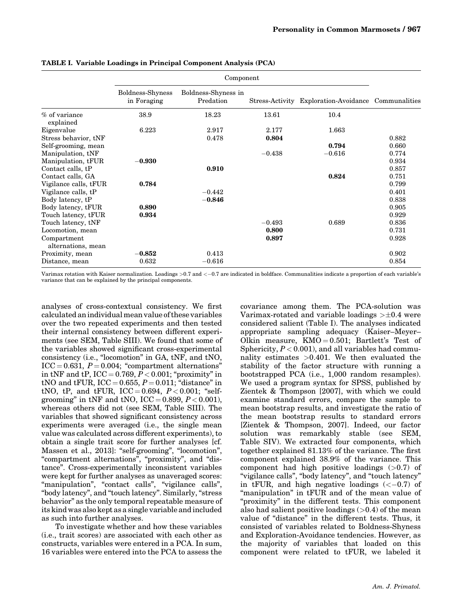|                                   | Component                       |                                  |          |                                                     |       |
|-----------------------------------|---------------------------------|----------------------------------|----------|-----------------------------------------------------|-------|
|                                   | Boldness-Shyness<br>in Foraging | Boldness-Shyness in<br>Predation |          | Stress-Activity Exploration-Avoidance Communalities |       |
| % of variance<br>explained        | 38.9                            | 18.23                            | 13.61    | 10.4                                                |       |
| Eigenvalue                        | 6.223                           | 2.917                            | 2.177    | 1.663                                               |       |
| Stress behavior, tNF              |                                 | 0.478                            | 0.804    |                                                     | 0.882 |
| Self-grooming, mean               |                                 |                                  |          | 0.794                                               | 0.660 |
| Manipulation, tNF                 |                                 |                                  | $-0.438$ | $-0.616$                                            | 0.774 |
| Manipulation, tFUR                | $-0.930$                        |                                  |          |                                                     | 0.934 |
| Contact calls, tP                 |                                 | 0.910                            |          |                                                     | 0.857 |
| Contact calls, GA                 |                                 |                                  |          | 0.824                                               | 0.751 |
| Vigilance calls, tFUR             | 0.784                           |                                  |          |                                                     | 0.799 |
| Vigilance calls, tP               |                                 | $-0.442$                         |          |                                                     | 0.401 |
| Body latency, tP                  |                                 | $-0.846$                         |          |                                                     | 0.838 |
| Body latency, tFUR                | 0.890                           |                                  |          |                                                     | 0.905 |
| Touch latency, tFUR               | 0.934                           |                                  |          |                                                     | 0.929 |
| Touch latency, tNF                |                                 |                                  | $-0.493$ | 0.689                                               | 0.836 |
| Locomotion, mean                  |                                 |                                  | 0.800    |                                                     | 0.731 |
| Compartment<br>alternations, mean |                                 |                                  | 0.897    |                                                     | 0.928 |
| Proximity, mean                   | $-0.852$                        | 0.413                            |          |                                                     | 0.902 |
| Distance, mean                    | 0.632                           | $-0.616$                         |          |                                                     | 0.854 |

TABLE I. Variable Loadings in Principal Component Analysis (PCA)

Varimax rotation with Kaiser normalization. Loadings  $>0.7$  and  $<-0.7$  are indicated in boldface. Communalities indicate a proportion of each variable's variance that can be explained by the principal components.

analyses of cross-contextual consistency. We first calculated an individualmean value of these variables over the two repeated experiments and then tested their internal consistency between different experiments (see SEM, Table SIII). We found that some of the variables showed significant cross-experimental consistency (i.e., "locomotion" in GA, tNF, and tNO,  $ICC = 0.631, P = 0.004; "compartment alternations"$ in tNF and  $tP$ , ICC = 0.769,  $P < 0.001$ ; "proximity" in tNO and tFUR, ICC = 0.655,  $P = 0.011$ ; "distance" in tNO, tP, and tFUR,  $ICC = 0.694, P < 0.001$ ; "selfgrooming" in tNF and tNO,  $\text{ICC} = 0.899$ ,  $P < 0.001$ ), whereas others did not (see SEM, Table SIII). The variables that showed significant consistency across experiments were averaged (i.e., the single mean value was calculated across different experiments), to obtain a single trait score for further analyses [cf. Massen et al., 2013]: "self-grooming", "locomotion", "compartment alternations", "proximity", and "distance". Cross-experimentally inconsistent variables were kept for further analyses as unaveraged scores: "manipulation", "contact calls", "vigilance calls", "body latency", and "touch latency". Similarly, "stress behavior" as the only temporal repeatable measure of its kind was also kept as a single variable and included as such into further analyses.

To investigate whether and how these variables (i.e., trait scores) are associated with each other as constructs, variables were entered in a PCA. In sum, 16 variables were entered into the PCA to assess the covariance among them. The PCA-solution was Varimax-rotated and variable loadings  $\geq \pm 0.4$  were considered salient (Table I). The analyses indicated appropriate sampling adequacy (Kaiser–Meyer– Olkin measure,  $KMO = 0.501$ ; Bartlett's Test of Sphericity,  $P < 0.001$ ), and all variables had communality estimates >0.401. We then evaluated the stability of the factor structure with running a bootstrapped PCA (i.e., 1,000 random resamples). We used a program syntax for SPSS, published by Zientek & Thompson [2007], with which we could examine standard errors, compare the sample to mean bootstrap results, and investigate the ratio of the mean bootstrap results to standard errors [Zientek & Thompson, 2007]. Indeed, our factor solution was remarkably stable (see SEM, Table SIV). We extracted four components, which together explained 81.13% of the variance. The first component explained 38.9% of the variance. This component had high positive loadings (>0.7) of "vigilance calls", "body latency", and "touch latency" in tFUR, and high negative loadings  $( $-0.7$ )$  of "manipulation" in tFUR and of the mean value of "proximity" in the different tests. This component also had salient positive loadings  $(>0.4)$  of the mean value of "distance" in the different tests. Thus, it consisted of variables related to Boldness-Shyness and Exploration-Avoidance tendencies. However, as the majority of variables that loaded on this component were related to tFUR, we labeled it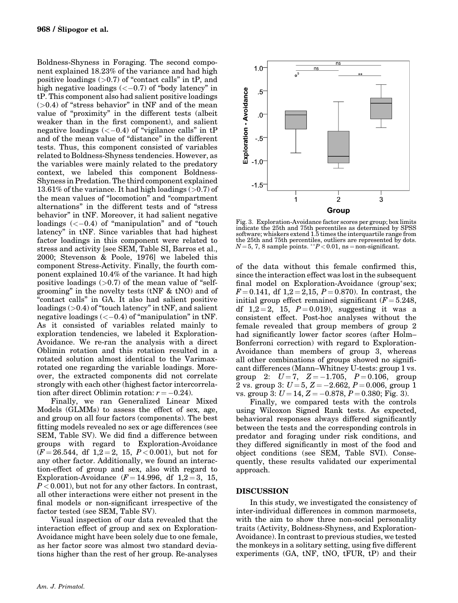Boldness-Shyness in Foraging. The second component explained 18.23% of the variance and had high positive loadings  $(>0.7)$  of "contact calls" in tP, and high negative loadings  $\left(\langle -0.7 \rangle\right)$  of "body latency" in tP. This component also had salient positive loadings  $(>0.4)$  of "stress behavior" in tNF and of the mean value of "proximity" in the different tests (albeit weaker than in the first component), and salient negative loadings  $\left\langle \langle -0.4 \rangle \right\rangle$  of "vigilance calls" in tP and of the mean value of "distance" in the different tests. Thus, this component consisted of variables related to Boldness-Shyness tendencies. However, as the variables were mainly related to the predatory context, we labeled this component Boldness-Shyness in Predation. The third component explained 13.61% of the variance. It had high loadings  $(>0.7)$  of the mean values of "locomotion" and "compartment alternations" in the different tests and of "stress behavior" in tNF. Moreover, it had salient negative loadings  $\left(<-0.4\right)$  of "manipulation" and of "touch" latency" in tNF. Since variables that had highest factor loadings in this component were related to stress and activity [see SEM, Table SI, Barros et al., 2000; Stevenson & Poole, 1976] we labeled this component Stress-Activity. Finally, the fourth component explained 10.4% of the variance. It had high positive loadings  $(0.7)$  of the mean value of "selfgrooming" in the novelty tests (tNF & tNO) and of "contact calls" in GA. It also had salient positive loadings (>0.4) of "touch latency" in tNF, and salient negative loadings  $(< -0.4)$  of "manipulation" in tNF. As it consisted of variables related mainly to exploration tendencies, we labeled it Exploration-Avoidance. We re-ran the analysis with a direct Oblimin rotation and this rotation resulted in a rotated solution almost identical to the Varimaxrotated one regarding the variable loadings. Moreover, the extracted components did not correlate strongly with each other (highest factor intercorrelation after direct Oblimin rotation:  $r = -0.24$ .

Finally, we ran Generalized Linear Mixed Models (GLMMs) to assess the effect of sex, age, and group on all four factors (components). The best fitting models revealed no sex or age differences (see SEM, Table SV). We did find a difference between groups with regard to Exploration-Avoidance  $(F = 26.544, df \ 1,2 = 2, 15, P < 0.001)$ , but not for any other factor. Additionally, we found an interaction-effect of group and sex, also with regard to Exploration-Avoidance  $(F = 14.996, df \ 1.2 = 3, 15,$  $P < 0.001$ ), but not for any other factors. In contrast, all other interactions were either not present in the final models or non-significant irrespective of the factor tested (see SEM, Table SV).

Visual inspection of our data revealed that the interaction effect of group and sex on Exploration-Avoidance might have been solely due to one female, as her factor score was almost two standard deviations higher than the rest of her group. Re-analyses



Fig. 3. Exploration-Avoidance factor scores per group; box limits indicate the 25th and 75th percentiles as determined by SPSS software; whiskers extend 1.5 times the interquartile range from the 25th and 75th percentiles, outliers are represented by dots.<br> $N=5, 7, 8$  sample points. \*\* $P < 0.01$ , ns = non-significant.

of the data without this female confirmed this, since the interaction effect was lost in the subsequent final model on Exploration-Avoidance (group\*sex;  $F = 0.141$ , df  $1,2 = 2,15$ ,  $P = 0.870$ ). In contrast, the initial group effect remained significant  $(F = 5.248,$ df  $1,2 = 2, 15, P = 0.019$ , suggesting it was a consistent effect. Post-hoc analyses without the female revealed that group members of group 2 had significantly lower factor scores (after Holm– Bonferroni correction) with regard to Exploration-Avoidance than members of group 3, whereas all other combinations of groups showed no significant differences (Mann–Whitney U-tests: group 1 vs. group 2:  $U=7$ ,  $Z=-1.705$ ,  $P=0.106$ , group 2 vs. group 3:  $U = 5$ ,  $Z = -2.662$ ,  $P = 0.006$ , group 1 vs. group  $\overline{3}$ :  $U = 14$ ,  $Z = -0.878$ ,  $P = 0.380$ ; Fig. 3).

Finally, we compared tests with the controls using Wilcoxon Signed Rank tests. As expected, behavioral responses always differed significantly between the tests and the corresponding controls in predator and foraging under risk conditions, and they differed significantly in most of the food and object conditions (see SEM, Table SVI). Consequently, these results validated our experimental approach.

#### DISCUSSION

In this study, we investigated the consistency of inter-individual differences in common marmosets, with the aim to show three non-social personality traits (Activity, Boldness-Shyness, and Exploration-Avoidance). In contrast to previous studies, we tested the monkeys in a solitary setting, using five different experiments (GA, tNF, tNO, tFUR, tP) and their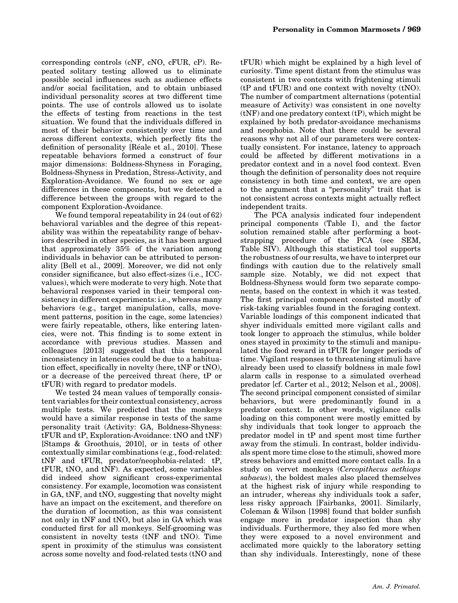corresponding controls (cNF, cNO, cFUR, cP). Repeated solitary testing allowed us to eliminate possible social influences such as audience effects and/or social facilitation, and to obtain unbiased individual personality scores at two different time points. The use of controls allowed us to isolate the effects of testing from reactions in the test situation. We found that the individuals differed in most of their behavior consistently over time and across different contexts, which perfectly fits the definition of personality [Réale et al., 2010]. These repeatable behaviors formed a construct of four major dimensions: Boldness-Shyness in Foraging, Boldness-Shyness in Predation, Stress-Activity, and Exploration-Avoidance. We found no sex or age differences in these components, but we detected a difference between the groups with regard to the component Exploration-Avoidance.

We found temporal repeatability in 24 (out of 62) behavioral variables and the degree of this repeatability was within the repeatability range of behaviors described in other species, as it has been argued that approximately 35% of the variation among individuals in behavior can be attributed to personality [Bell et al., 2009]. Moreover, we did not only consider significance, but also effect-sizes (i.e., ICCvalues), which were moderate to very high. Note that behavioral responses varied in their temporal consistency in different experiments: i.e., whereas many behaviors (e.g., target manipulation, calls, movement patterns, position in the cage, some latencies) were fairly repeatable, others, like entering latencies, were not. This finding is to some extent in accordance with previous studies. Massen and colleagues [2013] suggested that this temporal inconsistency in latencies could be due to a habituation effect, specifically in novelty (here, tNF or tNO), or a decrease of the perceived threat (here, tP or tFUR) with regard to predator models.

We tested 24 mean values of temporally consistent variables for their contextual consistency, across multiple tests. We predicted that the monkeys would have a similar response in tests of the same personality trait (Activity: GA, Boldness-Shyness: tFUR and tP, Exploration-Avoidance: tNO and tNF) [Stamps & Groothuis, 2010], or in tests of other contextually similar combinations (e.g., food-related: tNF and tFUR, predator/neophobia-related: tP, tFUR, tNO, and tNF). As expected, some variables did indeed show significant cross-experimental consistency. For example, locomotion was consistent in GA, tNF, and tNO, suggesting that novelty might have an impact on the excitement, and therefore on the duration of locomotion, as this was consistent not only in tNF and tNO, but also in GA which was conducted first for all monkeys. Self-grooming was consistent in novelty tests (tNF and tNO). Time spent in proximity of the stimulus was consistent across some novelty and food-related tests (tNO and

tFUR) which might be explained by a high level of curiosity. Time spent distant from the stimulus was consistent in two contexts with frightening stimuli (tP and tFUR) and one context with novelty (tNO). The number of compartment alternations (potential measure of Activity) was consistent in one novelty  $(tNF)$  and one predatory context  $(tP)$ , which might be explained by both predator-avoidance mechanisms and neophobia. Note that there could be several reasons why not all of our parameters were contextually consistent. For instance, latency to approach could be affected by different motivations in a predator context and in a novel food context. Even though the definition of personality does not require consistency in both time and context, we are open to the argument that a "personality" trait that is not consistent across contexts might actually reflect independent traits.

The PCA analysis indicated four independent principal components (Table I), and the factor solution remained stable after performing a bootstrapping procedure of the PCA (see SEM, Table SIV). Although this statistical tool supports the robustness of our results, we have to interpret our findings with caution due to the relatively small sample size. Notably, we did not expect that Boldness-Shyness would form two separate components, based on the context in which it was tested. The first principal component consisted mostly of risk-taking variables found in the foraging context. Variable loadings of this component indicated that shyer individuals emitted more vigilant calls and took longer to approach the stimulus, while bolder ones stayed in proximity to the stimuli and manipulated the food reward in tFUR for longer periods of time. Vigilant responses to threatening stimuli have already been used to classify boldness in male fowl alarm calls in response to a simulated overhead predator [cf. Carter et al., 2012; Nelson et al., 2008]. The second principal component consisted of similar behaviors, but were predominantly found in a predator context. In other words, vigilance calls loading on this component were mostly emitted by shy individuals that took longer to approach the predator model in tP and spent most time further away from the stimuli. In contrast, bolder individuals spent more time close to the stimuli, showed more stress behaviors and emitted more contact calls. In a study on vervet monkeys (Cercopithecus aethiops sabaeus), the boldest males also placed themselves at the highest risk of injury while responding to an intruder, whereas shy individuals took a safer, less risky approach [Fairbanks, 2001]. Similarly, Coleman & Wilson [1998] found that bolder sunfish engage more in predator inspection than shy individuals. Furthermore, they also fed more when they were exposed to a novel environment and acclimated more quickly to the laboratory setting than shy individuals. Interestingly, none of these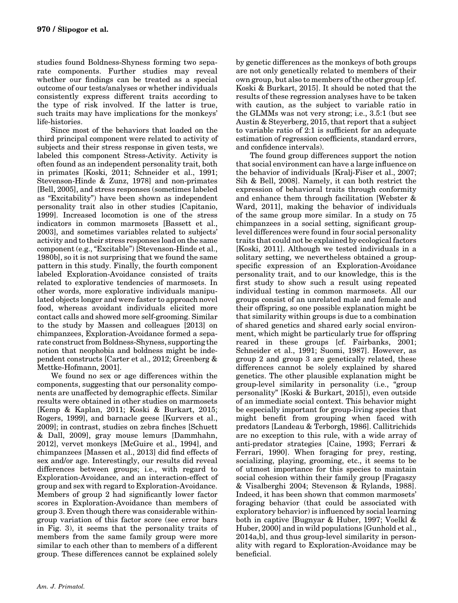studies found Boldness-Shyness forming two separate components. Further studies may reveal whether our findings can be treated as a special outcome of our tests/analyses or whether individuals consistently express different traits according to the type of risk involved. If the latter is true, such traits may have implications for the monkeys' life-histories.

Since most of the behaviors that loaded on the third principal component were related to activity of subjects and their stress response in given tests, we labeled this component Stress-Activity. Activity is often found as an independent personality trait, both in primates [Koski, 2011; Schneider et al., 1991; Stevenson-Hinde & Zunz, 1978] and non-primates [Bell, 2005], and stress responses (sometimes labeled as "Excitability") have been shown as independent personality trait also in other studies [Capitanio, 1999]. Increased locomotion is one of the stress indicators in common marmosets [Bassett et al., 2003], and sometimes variables related to subjects' activity and to their stress responses load on the same component (e.g., "Excitable") [Stevenson-Hinde et al., 1980b], so it is not surprising that we found the same pattern in this study. Finally, the fourth component labeled Exploration-Avoidance consisted of traits related to explorative tendencies of marmosets. In other words, more explorative individuals manipulated objects longer and were faster to approach novel food, whereas avoidant individuals elicited more contact calls and showed more self-grooming. Similar to the study by Massen and colleagues [2013] on chimpanzees, Exploration-Avoidance formed a separate construct from Boldness-Shyness, supporting the notion that neophobia and boldness might be independent constructs [Carter et al., 2012; Greenberg & Mettke-Hofmann, 2001].

We found no sex or age differences within the components, suggesting that our personality components are unaffected by demographic effects. Similar results were obtained in other studies on marmosets [Kemp & Kaplan, 2011; Koski & Burkart, 2015; Rogers, 1999], and barnacle geese [Kurvers et al., 2009]; in contrast, studies on zebra finches [Schuett & Dall, 2009], gray mouse lemurs [Dammhahn, 2012], vervet monkeys [McGuire et al., 1994], and chimpanzees [Massen et al., 2013] did find effects of sex and/or age. Interestingly, our results did reveal differences between groups; i.e., with regard to Exploration-Avoidance, and an interaction-effect of group and sex with regard to Exploration-Avoidance. Members of group 2 had significantly lower factor scores in Exploration-Avoidance than members of group 3. Even though there was considerable withingroup variation of this factor score (see error bars in Fig. 3), it seems that the personality traits of members from the same family group were more similar to each other than to members of a different group. These differences cannot be explained solely

by genetic differences as the monkeys of both groups are not only genetically related to members of their own group, but also to members of the other group [cf. Koski & Burkart, 2015]. It should be noted that the results of these regression analyses have to be taken with caution, as the subject to variable ratio in the GLMMs was not very strong; i.e., 3.5:1 (but see Austin & Steyerberg, 2015, that report that a subject to variable ratio of 2:1 is sufficient for an adequate estimation of regression coefficients, standard errors, and confidence intervals).

The found group differences support the notion that social environment can have a large influence on the behavior of individuals [Kralj-Fiser et al., 2007; Sih & Bell, 2008]. Namely, it can both restrict the expression of behavioral traits through conformity and enhance them through facilitation [Webster & Ward, 2011], making the behavior of individuals of the same group more similar. In a study on 75 chimpanzees in a social setting, significant grouplevel differences were found in four social personality traits that could not be explained by ecological factors [Koski, 2011]. Although we tested individuals in a solitary setting, we nevertheless obtained a groupspecific expression of an Exploration-Avoidance personality trait, and to our knowledge, this is the first study to show such a result using repeated individual testing in common marmosets. All our groups consist of an unrelated male and female and their offspring, so one possible explanation might be that similarity within groups is due to a combination of shared genetics and shared early social environment, which might be particularly true for offspring reared in these groups [cf. Fairbanks, 2001; Schneider et al., 1991; Suomi, 1987]. However, as group 2 and group 3 are genetically related, these differences cannot be solely explained by shared genetics. The other plausible explanation might be group-level similarity in personality (i.e., "group personality" [Koski & Burkart, 2015]), even outside of an immediate social context. This behavior might be especially important for group-living species that might benefit from grouping when faced with predators [Landeau & Terborgh, 1986]. Callitrichids are no exception to this rule, with a wide array of anti-predator strategies [Caine, 1993; Ferrari & Ferrari, 1990]. When foraging for prey, resting, socializing, playing, grooming, etc., it seems to be of utmost importance for this species to maintain social cohesion within their family group [Fragaszy & Visalberghi 2004; Stevenson & Rylands, 1988]. Indeed, it has been shown that common marmosets' foraging behavior (that could be associated with exploratory behavior) is influenced by social learning both in captive [Bugnyar & Huber, 1997; Voelkl & Huber, 2000] and in wild populations [Gunhold et al., 2014a,b], and thus group-level similarity in personality with regard to Exploration-Avoidance may be beneficial.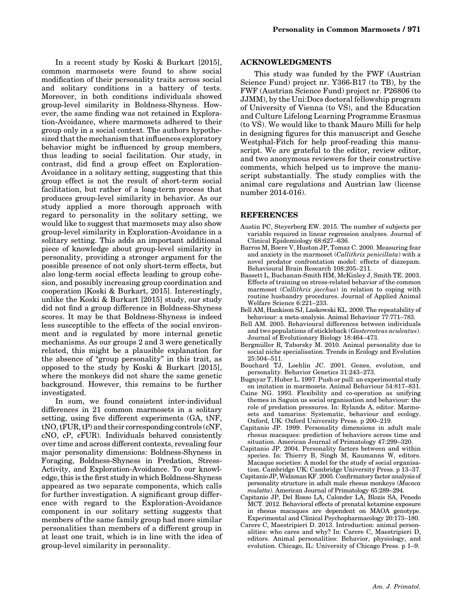In a recent study by Koski & Burkart [2015], common marmosets were found to show social modification of their personality traits across social and solitary conditions in a battery of tests. Moreover, in both conditions individuals showed group-level similarity in Boldness-Shyness. However, the same finding was not retained in Exploration-Avoidance, where marmosets adhered to their group only in a social context. The authors hypothesized that the mechanism that influences exploratory behavior might be influenced by group members, thus leading to social facilitation. Our study, in contrast, did find a group effect on Exploration-Avoidance in a solitary setting, suggesting that this group effect is not the result of short-term social facilitation, but rather of a long-term process that produces group-level similarity in behavior. As our study applied a more thorough approach with regard to personality in the solitary setting, we would like to suggest that marmosets may also show group-level similarity in Exploration-Avoidance in a solitary setting. This adds an important additional piece of knowledge about group-level similarity in personality, providing a stronger argument for the possible presence of not only short-term effects, but also long-term social effects leading to group cohesion, and possibly increasing group coordination and cooperation [Koski & Burkart, 2015]. Interestingly, unlike the Koski & Burkart [2015] study, our study did not find a group difference in Boldness-Shyness scores. It may be that Boldness-Shyness is indeed less susceptible to the effects of the social environment and is regulated by more internal genetic mechanisms. As our groups 2 and 3 were genetically related, this might be a plausible explanation for the absence of "group personality" in this trait, as opposed to the study by Koski & Burkart [2015], where the monkeys did not share the same genetic background. However, this remains to be further investigated.

In sum, we found consistent inter-individual differences in 21 common marmosets in a solitary setting, using five different experiments (GA, tNF, tNO, tFUR, tP) and their corresponding controls (cNF, cNO, cP, cFUR). Individuals behaved consistently over time and across different contexts, revealing four major personality dimensions: Boldness-Shyness in Foraging, Boldness-Shyness in Predation, Stress-Activity, and Exploration-Avoidance. To our knowledge, this is the first study in which Boldness-Shyness appeared as two separate components, which calls for further investigation. A significant group difference with regard to the Exploration-Avoidance component in our solitary setting suggests that members of the same family group had more similar personalities than members of a different group in at least one trait, which is in line with the idea of group-level similarity in personality.

#### ACKNOWLEDGMENTS

This study was funded by the FWF (Austrian Science Fund) project nr. Y366-B17 (to TB), by the FWF (Austrian Science Fund) project nr. P26806 (to JJMM), by the Uni:Docs doctoral fellowship program of University of Vienna (to VS), and the Education and Culture Lifelong Learning Programme Erasmus (to VS). We would like to thank Mauro Milli for help in designing figures for this manuscript and Gesche Westphal-Fitch for help proof-reading this manuscript. We are grateful to the editor, review editor, and two anonymous reviewers for their constructive comments, which helped us to improve the manuscript substantially. The study complies with the animal care regulations and Austrian law (license number 2014-016).

#### REFERENCES

- Austin PC, Steyerberg EW. 2015. The number of subjects per variable required in linear regression analyses. Journal of Clinical Epidemiology 68:627–636.
- Barros M, Boere V, Huston JP, Tomaz C. 2000. Measuring fear and anxiety in the marmoset (Callithrix penicillata) with a novel predator confrontation model: effects of diazepam. Behavioural Brain Research 108:205–211.
- Bassett L, Buchanan-Smith HM, McKinley J, Smith TE. 2003. Effects of training on stress-related behavior of the common marmoset (Callithrix jacchus) in relation to coping with routine husbandry procedures. Journal of Applied Animal Welfare Science 6:221–233.
- Bell AM, Hankison SJ, Laskowski KL. 2009. The repeatability of behaviour: a meta-analysis. Animal Behaviour 77:771–783.
- Bell AM. 2005. Behavioural differences between individuals and two populations of stickleback (Gasterosteus aculeatus). Journal of Evolutionary Biology 18:464–473.
- Bergmüller R, Taborsky M. 2010. Animal personality due to social niche specialisation. Trends in Ecology and Evolution 25:504–511.
- Bouchard TJ, Loehlin JC. 2001. Genes, evolution, and personality. Behavior Genetics 31:243–273.
- Bugnyar T, Huber L. 1997. Push or pull: an experimental study on imitation in marmosets. Animal Behaviour 54:817–831.
- Caine NG. 1993. Flexibility and co-operation as unifying themes in Saguin us social organisation and behaviour: the role of predation pressures. In: Rylands A, editor. Marmosets and tamarins: Systematic, behaviour and ecology. Oxford, UK: Oxford University Press. p 200–219.
- Capitanio JP. 1999. Personality dimensions in adult male rhesus macaques: prediction of behaviors across time and situation. American Journal of Primatology 47:299–320.
- Capitanio JP. 2004. Personality factors between and within species. In: Thierry B, Singh M, Kaumanns W, editors. Macaque societies: A model for the study of social organisation. Cambridge UK: Cambridge University Press. p 13–37.
- Capitanio JP,Widaman KF. 2005. Confirmatory factor analysis of personality structure in adult male rhesus monkeys (Macaca mulatta). American Journal of Primatology 65:289–294.
- Capitanio JP, Del Rosso LA, Calonder LA, Blozis SA, Penedo MCT. 2012. Behavioral effects of prenatal ketamine exposure in rhesus macaques are dependent on MAOA genotype. Experimental and Clinical Psychopharmacology 20:173–180.
- Carere C, Maestripieri D. 2013. Introduction: animal personalities: who cares and why? In: Carere C, Maestripieri D, editors. Animal personalities: Behavior, physiology, and evolution. Chicago, IL: University of Chicago Press. p 1–9.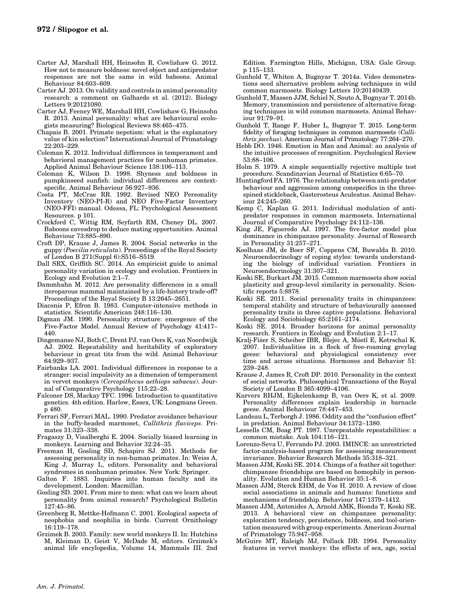- Carter AJ, Marshall HH, Heinsohn R, Cowlishaw G. 2012. How not to measure boldness: novel object and antipredator responses are not the same in wild baboons. Animal Behaviour 84:603–609.
- Carter AJ. 2013. On validity and controls in animal personality research: a comment on Galhardo et al. (2012). Biology Letters 9:20121080.
- Carter AJ, Feeney WE, Marshall HH, Cowlishaw G, Heinsohn R. 2013. Animal personality: what are behavioural ecologists measuring? Biological Reviews 88:465–475.
- Chapais B. 2001. Primate nepotism: what is the explanatory value of kin selection? International Journal of Primatology 22:203–229.
- Coleman K. 2012. Individual differences in temperament and behavioral management practices for nonhuman primates. Applied Animal Behaviour Science 138:106–113.
- Coleman K, Wilson D. 1998. Shyness and boldness in pumpkinseed sunfish: individual differences are contextspecific. Animal Behaviour 56:927–936.
- Costa PT, McCrae RR. 1992. Revised NEO Personality Inventory (NEO-PI-R) and NEO Five-Factor Inventory (NEO-FFI) manual. Odessa, FL: Psychological Assessment Resources. p 101.
- Crockford C, Wittig RM, Seyfarth RM, Cheney DL. 2007. Baboons eavesdrop to deduce mating opportunities. Animal Behaviour 73:885–890.
- Croft DP, Krause J, James R. 2004. Social networks in the guppy (Poecilia reticulata). Proceedings of the Royal Society of London B 271(Suppl 6):S516–S519.
- Dall SRX, Griffith SC. 2014. An empiricist guide to animal personality variation in ecology and evolution. Frontiers in Ecology and Evolution 2:1–7.
- Dammhahn M. 2012. Are personality differences in a small iteroparous mammal maintained by a life-history trade-off? Proceedings of the Royal Society B 13:2645–2651.
- Diaconis P, Efron B. 1983. Computer-intensive methods in statistics. Scientific American 248:116–130.
- Digman JM. 1990. Personality structure: emergence of the Five-Factor Model. Annual Review of Psychology 41:417– 440.
- Dingemanse NJ, Both C, Drent PJ, van Oers K, van Noordwijk AJ. 2002. Repeatability and heritability of exploratory behaviour in great tits from the wild. Animal Behaviour 64:929–937.
- Fairbanks LA. 2001. Individual differences in response to a stranger: social impulsivity as a dimension of temperament in vervet monkeys (Cercopithecus aethiops sabaeus). Journal of Comparative Psychology 115:22–28.
- Falconer DS, Mackay TFC. 1996. Introduction to quantitative genetics. 4th edition. Harlow, Essex, UK: Longmans Green. p 480.
- Ferrari SF, Ferrari MAL. 1990. Predator avoidance behaviour in the buffy-headed marmoset, Callithrix flaviceps. Primates 31:323–338.
- Fragaszy D, Visalberghi E. 2004. Socially biased learning in monkeys. Learning and Behavior 32:24–35.
- Freeman H, Gosling SD, Schapiro SJ. 2011. Methods for assessing personality in non-human primates. In: Weiss A, King J, Murray L, editors. Personality and behavioral syndromes in nonhuman primates. New York: Springer.
- Galton F. 1883. Inquiries into human faculty and its development. London: Macmillan.
- Gosling SD. 2001. From mice to men: what can we learn about personality from animal research? Psychological Bulletin 127:45–86.
- Greenberg R, Mettke-Hofmann C. 2001. Ecological aspects of neophobia and neophilia in birds. Current Ornithology 16:119–178.
- Grzimek B. 2003. Family: new world monkeys II. In: Hutchins M, Kleiman D, Geist V, McDade M, editors. Grzimek's animal life encylopedia, Volume 14, Mammals III. 2nd

Edition. Farmington Hills, Michigan, USA: Gale Group. p 115–133.

- Gunhold T, Whiten A, Bugnyar T. 2014a. Video demonstrations seed alternative problem solving techniques in wild common marmosets. Biology Letters 10:20140439.
- Gunhold T, Massen JJM, Schiel N, Souto A, Bugnyar T. 2014b. Memory, transmission and persistence of alternative foraging techniques in wild common marmosets. Animal Behaviour 91:79–91.
- Gunhold T, Range F, Huber L, Bugnyar T. 2015. Long-term fidelity of foraging techniques in common marmosets (Callithrix jacchus). American Journal of Primatology 77:264–270.
- Hebb DO. 1946. Emotion in Man and Animal: an analysis of the intuitive processes of recognition. Psychological Review 53:88–106.
- Holm S. 1979. A simple sequentially rejective multiple test procedure. Scandinavian Journal of Statistics 6:65–70.
- Huntingford FA. 1976. The relationship between anti-predator behaviour and aggression among conspecifics in the threespined stickleback, Gasterosteus Aculeatus. Animal Behaviour 24:245–260.
- Kemp C, Kaplan G. 2011. Individual modulation of antipredator responses in common marmosets. International Journal of Comparative Psychology 24:112–136.
- King JE, Figueredo AJ. 1997. The five-factor model plus dominance in chimpanzee personality. Journal of Research in Personality 31:257–271.
- Koolhaas JM, de Boer SF, Coppens CM, Buwalda B. 2010. Neuroendocrinology of coping styles: towards understanding the biology of individual variation. Frontiers in Neuroendocrinology 31:307–321.
- Koski SE, Burkart JM. 2015. Common marmosets show social plasticity and group-level similarity in personality. Scientific reports 5:8878.
- Koski SE. 2011. Social personality traits in chimpanzees: temporal stability and structure of behaviourally assessed personality traits in three captive populations. Behavioral Ecology and Sociobiology 65:2161–2174.
- Koski SE. 2014. Broader horizons for animal personality research. Frontiers in Ecology and Evolution 2:1–17.
- Kralj-Fišer S, Scheiber IBR, Blejec A, Möstl E, Kotrschal K. 2007. Individualities in a flock of free-roaming greylag geese: behavioral and physiological consistency over time and across situations. Hormones and Behavior 51: 239–248.
- Krause J, James R, Croft DP. 2010. Personality in the context of social networks. Philosophical Transactions of the Royal Society of London B 365:4099–4106.
- Kurvers RHJM, Eijkelenkamp B, van Oers K, et al. 2009. Personality differences explain leadership in barnacle geese. Animal Behaviour 78:447–453.
- Landeau L, Terborgh J. 1986. Oddity and the "confusion effect" in predation. Animal Behaviour 34:1372–1380.
- Lessells CM, Boag PT. 1987. Unrepeatable repeatabilities: a common mistake. Auk 104:116–121.
- Lorenzo-Seva U, Ferrando PJ. 2003. IMINCE: an unrestricted factor-analysis-based program for assessing measurement invariance. Behavior Research Methods 35:318–321.
- Massen JJM, Koski SE. 2014. Chimps of a feather sit together: chimpanzee friendships are based on homophily in personality. Evolution and Human Behavior 35:1–8.
- Massen JJM, Sterck EHM, de Vos H. 2010. A review of close social associations in animals and humans: functions and mechanisms of friendship. Behaviour 147:1379–1412.
- Massen JJM, Antonides A, Arnold AMK, Bionda T, Koski SE. 2013. A behavioral view on chimpanzee personality: exploration tendency, persistence, boldness, and tool-orientation measured with group experiments. American Journal of Primatology 75:947–958.
- McGuire MT, Raleigh MJ, Pollack DB. 1994. Personality features in vervet monkeys: the effects of sex, age, social